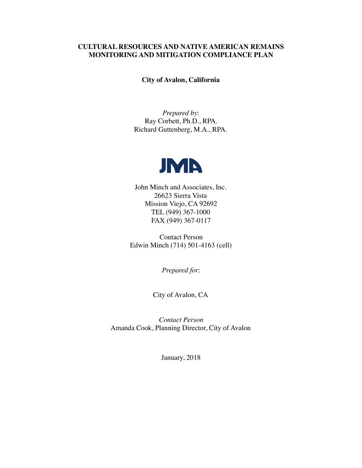#### **CULTURAL RESOURCES AND NATIVE AMERICAN REMAINS MONITORING AND MITIGATION COMPLIANCE PLAN**

**City of Avalon, California**

*Prepared by*: Ray Corbett, Ph.D., RPA. Richard Guttenberg, M.A., RPA.



John Minch and Associates, Inc. 26623 Sierra Vista Mission Viejo, CA 92692 TEL (949) 367-1000 FAX (949) 367-0117

Contact Person Edwin Minch (714) 501-4163 (cell)

*Prepared for*:

City of Avalon, CA

*Contact Person* Amanda Cook, Planning Director, City of Avalon

January, 2018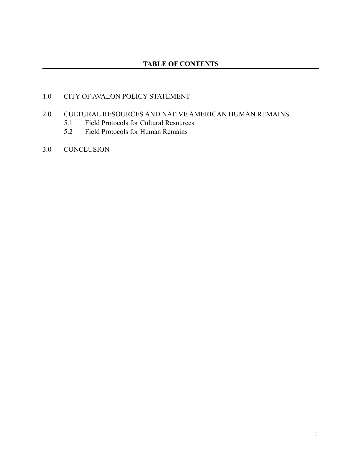# 1.0 CITY OF AVALON POLICY STATEMENT

## 2.0 CULTURAL RESOURCES AND NATIVE AMERICAN HUMAN REMAINS

- 5.1 Field Protocols for Cultural Resources
- 5.2 Field Protocols for Human Remains
- 3.0 CONCLUSION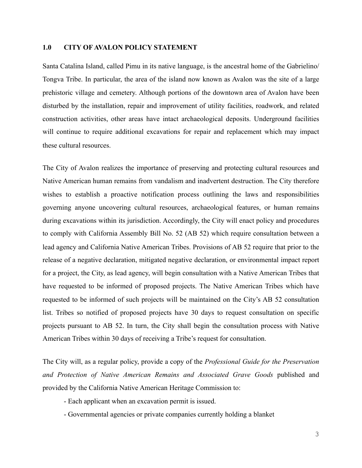#### **1.0 CITY OF AVALON POLICY STATEMENT**

Santa Catalina Island, called Pimu in its native language, is the ancestral home of the Gabrielino/ Tongva Tribe. In particular, the area of the island now known as Avalon was the site of a large prehistoric village and cemetery. Although portions of the downtown area of Avalon have been disturbed by the installation, repair and improvement of utility facilities, roadwork, and related construction activities, other areas have intact archaeological deposits. Underground facilities will continue to require additional excavations for repair and replacement which may impact these cultural resources.

The City of Avalon realizes the importance of preserving and protecting cultural resources and Native American human remains from vandalism and inadvertent destruction. The City therefore wishes to establish a proactive notification process outlining the laws and responsibilities governing anyone uncovering cultural resources, archaeological features, or human remains during excavations within its jurisdiction. Accordingly, the City will enact policy and procedures to comply with California Assembly Bill No. 52 (AB 52) which require consultation between a lead agency and California Native American Tribes. Provisions of AB 52 require that prior to the release of a negative declaration, mitigated negative declaration, or environmental impact report for a project, the City, as lead agency, will begin consultation with a Native American Tribes that have requested to be informed of proposed projects. The Native American Tribes which have requested to be informed of such projects will be maintained on the City's AB 52 consultation list. Tribes so notified of proposed projects have 30 days to request consultation on specific projects pursuant to AB 52. In turn, the City shall begin the consultation process with Native American Tribes within 30 days of receiving a Tribe's request for consultation.

The City will, as a regular policy, provide a copy of the *Professional Guide for the Preservation and Protection of Native American Remains and Associated Grave Goods* published and provided by the California Native American Heritage Commission to:

- Each applicant when an excavation permit is issued.
- Governmental agencies or private companies currently holding a blanket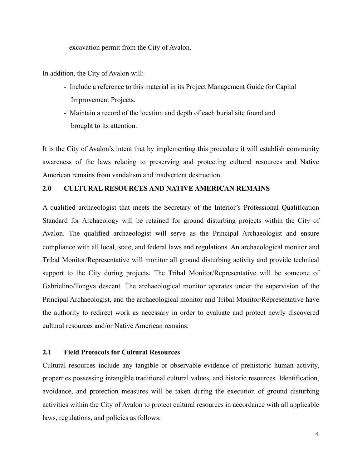excavation permit from the City of Avalon.

In addition, the City of Avalon will:

- Include a reference to this material in its Project Management Guide for Capital Improvement Projects.
- Maintain a record of the location and depth of each burial site found and brought to its attention.

It is the City of Avalon's intent that by implementing this procedure it will establish community awareness of the laws relating to preserving and protecting cultural resources and Native American remains from vandalism and inadvertent destruction.

### **2.0 CULTURAL RESOURCES AND NATIVE AMERICAN REMAINS**

A qualified archaeologist that meets the Secretary of the Interior's Professional Qualification Standard for Archaeology will be retained for ground disturbing projects within the City of Avalon. The qualified archaeologist will serve as the Principal Archaeologist and ensure compliance with all local, state, and federal laws and regulations. An archaeological monitor and Tribal Monitor/Representative will monitor all ground disturbing activity and provide technical support to the City during projects. The Tribal Monitor/Representative will be someone of Gabrielino/Tongva descent. The archaeological monitor operates under the supervision of the Principal Archaeologist, and the archaeological monitor and Tribal Monitor/Representative have the authority to redirect work as necessary in order to evaluate and protect newly discovered cultural resources and/or Native American remains.

## **2.1 Field Protocols for Cultural Resources**

Cultural resources include any tangible or observable evidence of prehistoric human activity, properties possessing intangible traditional cultural values, and historic resources. Identification, avoidance, and protection measures will be taken during the execution of ground disturbing activities within the City of Avalon to protect cultural resources in accordance with all applicable laws, regulations, and policies as follows: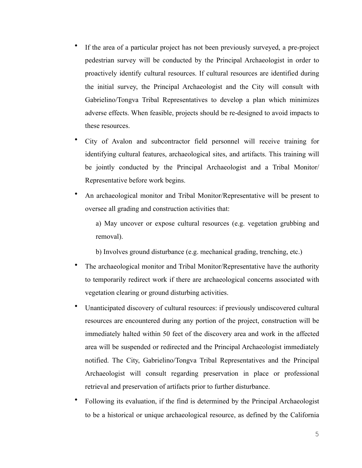- If the area of a particular project has not been previously surveyed, a pre-project pedestrian survey will be conducted by the Principal Archaeologist in order to proactively identify cultural resources. If cultural resources are identified during the initial survey, the Principal Archaeologist and the City will consult with Gabrielino/Tongva Tribal Representatives to develop a plan which minimizes adverse effects. When feasible, projects should be re-designed to avoid impacts to these resources.
- City of Avalon and subcontractor field personnel will receive training for identifying cultural features, archaeological sites, and artifacts. This training will be jointly conducted by the Principal Archaeologist and a Tribal Monitor/ Representative before work begins.
- An archaeological monitor and Tribal Monitor/Representative will be present to oversee all grading and construction activities that:

a) May uncover or expose cultural resources (e.g. vegetation grubbing and removal).

b) Involves ground disturbance (e.g. mechanical grading, trenching, etc.)

- The archaeological monitor and Tribal Monitor/Representative have the authority to temporarily redirect work if there are archaeological concerns associated with vegetation clearing or ground disturbing activities.
- Unanticipated discovery of cultural resources: if previously undiscovered cultural resources are encountered during any portion of the project, construction will be immediately halted within 50 feet of the discovery area and work in the affected area will be suspended or redirected and the Principal Archaeologist immediately notified. The City, Gabrielino/Tongva Tribal Representatives and the Principal Archaeologist will consult regarding preservation in place or professional retrieval and preservation of artifacts prior to further disturbance.
- Following its evaluation, if the find is determined by the Principal Archaeologist to be a historical or unique archaeological resource, as defined by the California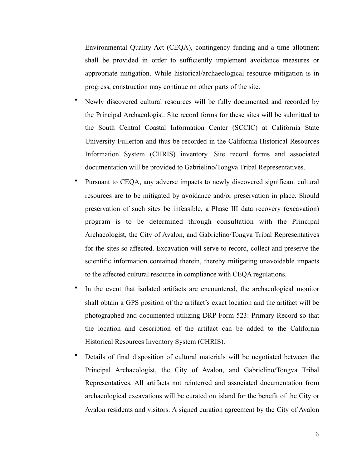Environmental Quality Act (CEQA), contingency funding and a time allotment shall be provided in order to sufficiently implement avoidance measures or appropriate mitigation. While historical/archaeological resource mitigation is in progress, construction may continue on other parts of the site.

- Newly discovered cultural resources will be fully documented and recorded by the Principal Archaeologist. Site record forms for these sites will be submitted to the South Central Coastal Information Center (SCCIC) at California State University Fullerton and thus be recorded in the California Historical Resources Information System (CHRIS) inventory. Site record forms and associated documentation will be provided to Gabrielino/Tongva Tribal Representatives.
- Pursuant to CEQA, any adverse impacts to newly discovered significant cultural resources are to be mitigated by avoidance and/or preservation in place. Should preservation of such sites be infeasible, a Phase III data recovery (excavation) program is to be determined through consultation with the Principal Archaeologist, the City of Avalon, and Gabrielino/Tongva Tribal Representatives for the sites so affected. Excavation will serve to record, collect and preserve the scientific information contained therein, thereby mitigating unavoidable impacts to the affected cultural resource in compliance with CEQA regulations.
- In the event that isolated artifacts are encountered, the archaeological monitor shall obtain a GPS position of the artifact's exact location and the artifact will be photographed and documented utilizing DRP Form 523: Primary Record so that the location and description of the artifact can be added to the California Historical Resources Inventory System (CHRIS).
- Details of final disposition of cultural materials will be negotiated between the Principal Archaeologist, the City of Avalon, and Gabrielino/Tongva Tribal Representatives. All artifacts not reinterred and associated documentation from archaeological excavations will be curated on island for the benefit of the City or Avalon residents and visitors. A signed curation agreement by the City of Avalon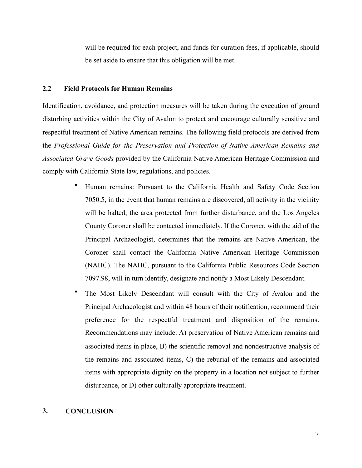will be required for each project, and funds for curation fees, if applicable, should be set aside to ensure that this obligation will be met.

#### **2.2 Field Protocols for Human Remains**

Identification, avoidance, and protection measures will be taken during the execution of ground disturbing activities within the City of Avalon to protect and encourage culturally sensitive and respectful treatment of Native American remains. The following field protocols are derived from the *Professional Guide for the Preservation and Protection of Native American Remains and Associated Grave Goods* provided by the California Native American Heritage Commission and comply with California State law, regulations, and policies.

- Human remains: Pursuant to the California Health and Safety Code Section 7050.5, in the event that human remains are discovered, all activity in the vicinity will be halted, the area protected from further disturbance, and the Los Angeles County Coroner shall be contacted immediately. If the Coroner, with the aid of the Principal Archaeologist, determines that the remains are Native American, the Coroner shall contact the California Native American Heritage Commission (NAHC). The NAHC, pursuant to the California Public Resources Code Section 7097.98, will in turn identify, designate and notify a Most Likely Descendant.
- The Most Likely Descendant will consult with the City of Avalon and the Principal Archaeologist and within 48 hours of their notification, recommend their preference for the respectful treatment and disposition of the remains. Recommendations may include: A) preservation of Native American remains and associated items in place, B) the scientific removal and nondestructive analysis of the remains and associated items, C) the reburial of the remains and associated items with appropriate dignity on the property in a location not subject to further disturbance, or D) other culturally appropriate treatment.

#### **3. CONCLUSION**